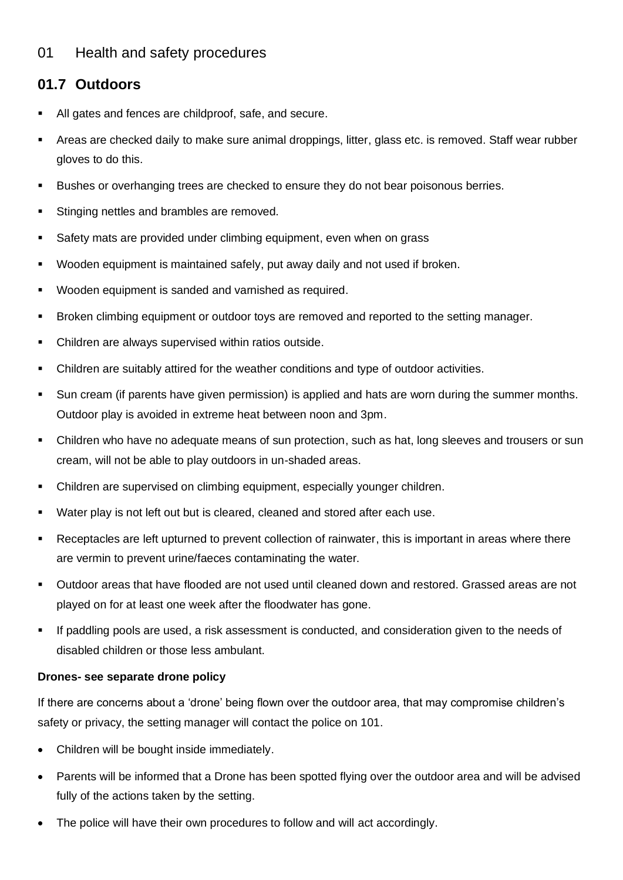## 01 Health and safety procedures

## **01.7 Outdoors**

- All gates and fences are childproof, safe, and secure.
- Areas are checked daily to make sure animal droppings, litter, glass etc. is removed. Staff wear rubber gloves to do this.
- Bushes or overhanging trees are checked to ensure they do not bear poisonous berries.
- Stinging nettles and brambles are removed.
- Safety mats are provided under climbing equipment, even when on grass
- Wooden equipment is maintained safely, put away daily and not used if broken.
- Wooden equipment is sanded and varnished as required.
- Broken climbing equipment or outdoor toys are removed and reported to the setting manager.
- Children are always supervised within ratios outside.
- Children are suitably attired for the weather conditions and type of outdoor activities.
- Sun cream (if parents have given permission) is applied and hats are worn during the summer months. Outdoor play is avoided in extreme heat between noon and 3pm.
- Children who have no adequate means of sun protection, such as hat, long sleeves and trousers or sun cream, will not be able to play outdoors in un-shaded areas.
- Children are supervised on climbing equipment, especially younger children.
- Water play is not left out but is cleared, cleaned and stored after each use.
- Receptacles are left upturned to prevent collection of rainwater, this is important in areas where there are vermin to prevent urine/faeces contaminating the water.
- Outdoor areas that have flooded are not used until cleaned down and restored. Grassed areas are not played on for at least one week after the floodwater has gone.
- If paddling pools are used, a risk assessment is conducted, and consideration given to the needs of disabled children or those less ambulant.

## **Drones- see separate drone policy**

If there are concerns about a 'drone' being flown over the outdoor area, that may compromise children's safety or privacy, the setting manager will contact the police on 101.

- Children will be bought inside immediately.
- Parents will be informed that a Drone has been spotted flying over the outdoor area and will be advised fully of the actions taken by the setting.
- The police will have their own procedures to follow and will act accordingly.